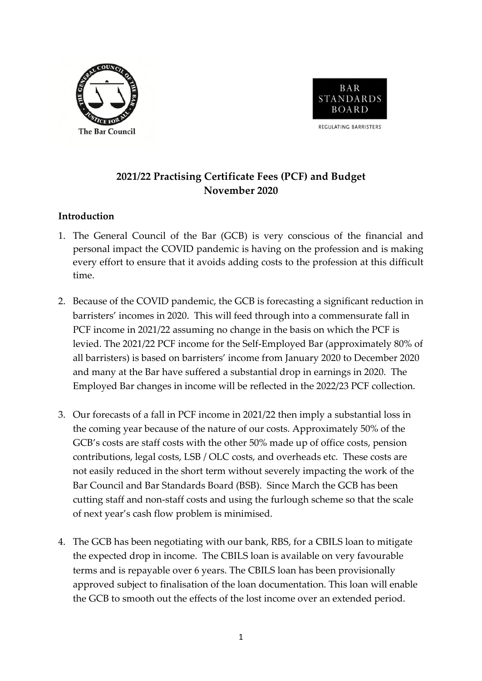



**2021/22 Practising Certificate Fees (PCF) and Budget November 2020** 

## **Introduction**

- 1. The General Council of the Bar (GCB) is very conscious of the financial and personal impact the COVID pandemic is having on the profession and is making every effort to ensure that it avoids adding costs to the profession at this difficult time.
- 2. Because of the COVID pandemic, the GCB is forecasting a significant reduction in barristers' incomes in 2020. This will feed through into a commensurate fall in PCF income in 2021/22 assuming no change in the basis on which the PCF is levied. The 2021/22 PCF income for the Self-Employed Bar (approximately 80% of all barristers) is based on barristers' income from January 2020 to December 2020 and many at the Bar have suffered a substantial drop in earnings in 2020. The Employed Bar changes in income will be reflected in the 2022/23 PCF collection.
- 3. Our forecasts of a fall in PCF income in 2021/22 then imply a substantial loss in the coming year because of the nature of our costs. Approximately 50% of the GCB's costs are staff costs with the other 50% made up of office costs, pension contributions, legal costs, LSB / OLC costs, and overheads etc. These costs are not easily reduced in the short term without severely impacting the work of the Bar Council and Bar Standards Board (BSB). Since March the GCB has been cutting staff and non-staff costs and using the furlough scheme so that the scale of next year's cash flow problem is minimised.
- 4. The GCB has been negotiating with our bank, RBS, for a CBILS loan to mitigate the expected drop in income. The CBILS loan is available on very favourable terms and is repayable over 6 years. The CBILS loan has been provisionally approved subject to finalisation of the loan documentation. This loan will enable the GCB to smooth out the effects of the lost income over an extended period.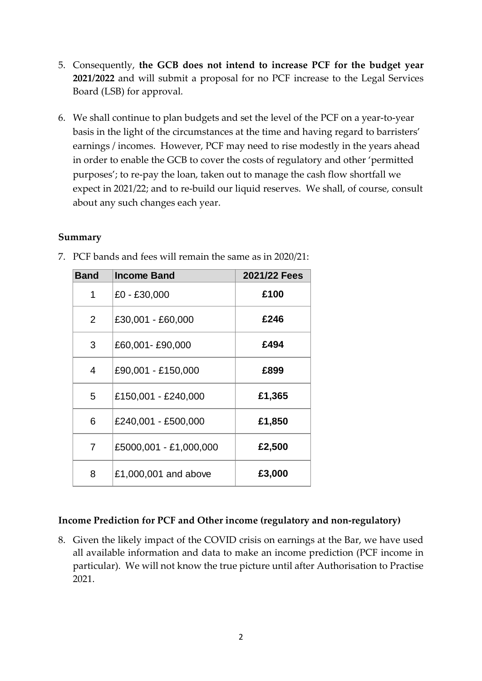- 5. Consequently, **the GCB does not intend to increase PCF for the budget year 2021/2022** and will submit a proposal for no PCF increase to the Legal Services Board (LSB) for approval.
- 6. We shall continue to plan budgets and set the level of the PCF on a year-to-year basis in the light of the circumstances at the time and having regard to barristers' earnings / incomes. However, PCF may need to rise modestly in the years ahead in order to enable the GCB to cover the costs of regulatory and other 'permitted purposes'; to re-pay the loan, taken out to manage the cash flow shortfall we expect in 2021/22; and to re-build our liquid reserves. We shall, of course, consult about any such changes each year.

#### **Summary**

| <b>Band</b>    | <b>Income Band</b>     | 2021/22 Fees |
|----------------|------------------------|--------------|
| 1              | £0 - £30,000           | £100         |
| 2              | £30,001 - £60,000      | £246         |
| 3              | £60,001-£90,000        | £494         |
| 4              | £90,001 - £150,000     | £899         |
| 5              | £150,001 - £240,000    | £1,365       |
| 6              | £240,001 - £500,000    | £1,850       |
| $\overline{7}$ | £5000,001 - £1,000,000 | £2,500       |
| 8              | £1,000,001 and above   | £3,000       |

7. PCF bands and fees will remain the same as in 2020/21:

#### **Income Prediction for PCF and Other income (regulatory and non-regulatory)**

8. Given the likely impact of the COVID crisis on earnings at the Bar, we have used all available information and data to make an income prediction (PCF income in particular). We will not know the true picture until after Authorisation to Practise 2021.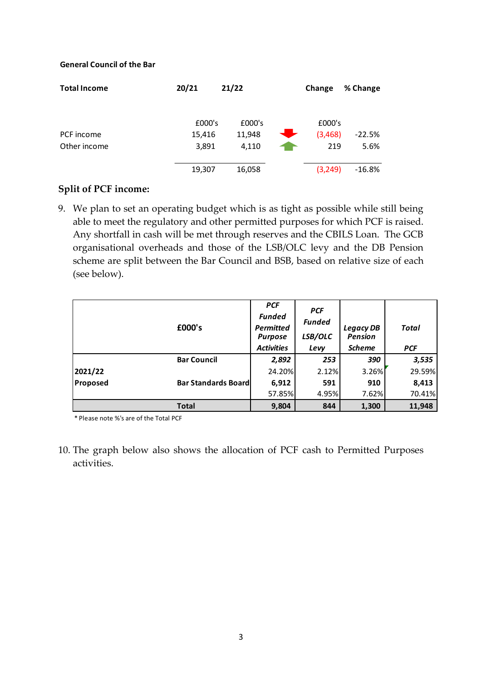#### **General Council of the Bar**

| <b>Total Income</b> | 20/21  | 21/22  |           | Change  | % Change |
|---------------------|--------|--------|-----------|---------|----------|
|                     |        |        |           |         |          |
|                     | £000's | £000's |           | £000's  |          |
| PCF income          | 15,416 | 11,948 | $\bullet$ | (3,468) | $-22.5%$ |
| Other income        | 3,891  | 4,110  |           | 219     | 5.6%     |
|                     |        |        |           |         |          |
|                     | 19,307 | 16,058 |           | (3,249) | $-16.8%$ |

## **Split of PCF income:**

9. We plan to set an operating budget which is as tight as possible while still being able to meet the regulatory and other permitted purposes for which PCF is raised. Any shortfall in cash will be met through reserves and the CBILS Loan. The GCB organisational overheads and those of the LSB/OLC levy and the DB Pension scheme are split between the Bar Council and BSB, based on relative size of each (see below).

|          | £000's                     | <b>PCF</b><br><b>Funded</b><br><b>Permitted</b><br><b>Purpose</b><br><b>Activities</b> | <b>PCF</b><br><b>Funded</b><br>LSB/OLC<br>Levy | <b>Legacy DB</b><br><b>Pension</b><br><b>Scheme</b> | Total<br><b>PCF</b> |
|----------|----------------------------|----------------------------------------------------------------------------------------|------------------------------------------------|-----------------------------------------------------|---------------------|
|          | <b>Bar Council</b>         | 2,892                                                                                  | 253                                            | 390                                                 | 3,535               |
| 2021/22  |                            | 24.20%                                                                                 | 2.12%                                          | 3.26%                                               | 29.59%              |
| Proposed | <b>Bar Standards Board</b> | 6,912                                                                                  | 591                                            | 910                                                 | 8,413               |
|          |                            | 57.85%                                                                                 | 4.95%                                          | 7.62%                                               | 70.41%              |
|          | <b>Total</b>               | 9,804                                                                                  | 844                                            | 1,300                                               | 11,948              |

\* Please note %'s are of the Total PCF

10. The graph below also shows the allocation of PCF cash to Permitted Purposes activities.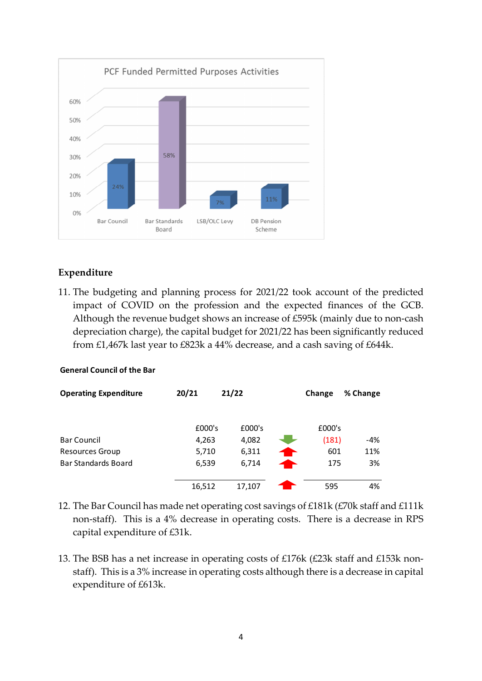

# **Expenditure**

11. The budgeting and planning process for 2021/22 took account of the predicted impact of COVID on the profession and the expected finances of the GCB. Although the revenue budget shows an increase of £595k (mainly due to non-cash depreciation charge), the capital budget for 2021/22 has been significantly reduced from £1,467k last year to £823k a 44% decrease, and a cash saving of £644k.

#### **General Council of the Bar**

| <b>Operating Expenditure</b> | 20/21  | 21/22  | Change | % Change |
|------------------------------|--------|--------|--------|----------|
|                              |        |        |        |          |
|                              |        |        |        |          |
|                              | £000's | £000's | £000's |          |
| <b>Bar Council</b>           | 4,263  | 4,082  | (181)  | -4%      |
| Resources Group              | 5,710  | 6,311  | 601    | 11%      |
| Bar Standards Board          | 6,539  | 6,714  | 175    | 3%       |
|                              |        |        |        |          |
|                              | 16,512 | 17.107 | 595    | 4%       |

- 12. The Bar Council has made net operating cost savings of £181k (£70k staff and £111k non-staff). This is a 4% decrease in operating costs. There is a decrease in RPS capital expenditure of £31k.
- 13. The BSB has a net increase in operating costs of £176k (£23k staff and £153k nonstaff). This is a 3% increase in operating costs although there is a decrease in capital expenditure of £613k.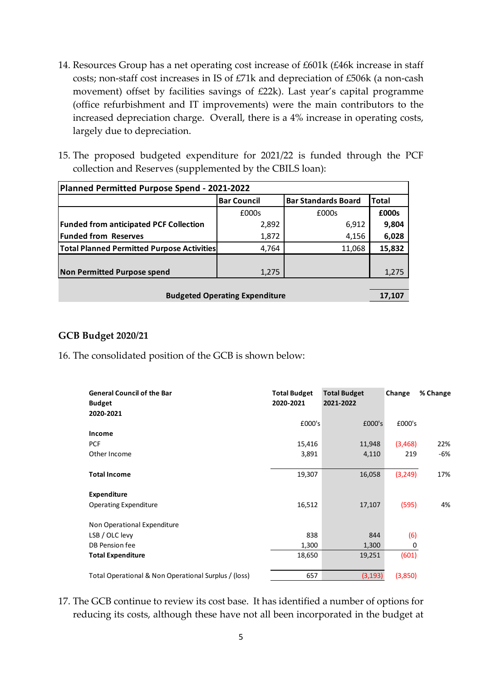- 14. Resources Group has a net operating cost increase of £601k (£46k increase in staff costs; non-staff cost increases in IS of £71k and depreciation of £506k (a non-cash movement) offset by facilities savings of £22k). Last year's capital programme (office refurbishment and IT improvements) were the main contributors to the increased depreciation charge. Overall, there is a 4% increase in operating costs, largely due to depreciation.
- 15. The proposed budgeted expenditure for 2021/22 is funded through the PCF collection and Reserves (supplemented by the CBILS loan):

| Planned Permitted Purpose Spend - 2021-2022       |                    |                            |              |  |  |
|---------------------------------------------------|--------------------|----------------------------|--------------|--|--|
|                                                   | <b>Bar Council</b> | <b>Bar Standards Board</b> | <b>Total</b> |  |  |
|                                                   | £000s              | £000s                      | £000s        |  |  |
| <b>Funded from anticipated PCF Collection</b>     | 2,892              | 6,912                      | 9,804        |  |  |
| <b>Funded from Reserves</b>                       | 1,872              | 4,156                      | 6,028        |  |  |
| <b>Total Planned Permitted Purpose Activities</b> | 4,764              | 11,068                     | 15,832       |  |  |
|                                                   |                    |                            |              |  |  |
| Non Permitted Purpose spend                       | 1,275              |                            | 1,275        |  |  |
|                                                   |                    |                            |              |  |  |
| <b>Budgeted Operating Expenditure</b>             |                    |                            |              |  |  |

## **GCB Budget 2020/21**

16. The consolidated position of the GCB is shown below:

| <b>General Council of the Bar</b><br><b>Budget</b><br>2020-2021 | <b>Total Budget</b><br>2020-2021 | <b>Total Budget</b><br>2021-2022 | Change   | % Change |
|-----------------------------------------------------------------|----------------------------------|----------------------------------|----------|----------|
|                                                                 | £000's                           | £000's                           | £000's   |          |
| Income                                                          |                                  |                                  |          |          |
| <b>PCF</b>                                                      | 15,416                           | 11,948                           | (3,468)  | 22%      |
| Other Income                                                    | 3,891                            | 4,110                            | 219      | $-6%$    |
|                                                                 |                                  |                                  |          |          |
| <b>Total Income</b>                                             | 19,307                           | 16,058                           | (3, 249) | 17%      |
| <b>Expenditure</b>                                              |                                  |                                  |          |          |
| <b>Operating Expenditure</b>                                    | 16,512                           | 17,107                           | (595)    | 4%       |
|                                                                 |                                  |                                  |          |          |
| Non Operational Expenditure                                     |                                  |                                  |          |          |
| LSB / OLC levy                                                  | 838                              | 844                              | (6)      |          |
| DB Pension fee                                                  | 1,300                            | 1,300                            | 0        |          |
| <b>Total Expenditure</b>                                        | 18,650                           | 19,251                           | (601)    |          |
|                                                                 |                                  |                                  |          |          |
| Total Operational & Non Operational Surplus / (loss)            | 657                              | (3, 193)                         | (3,850)  |          |

17. The GCB continue to review its cost base. It has identified a number of options for reducing its costs, although these have not all been incorporated in the budget at